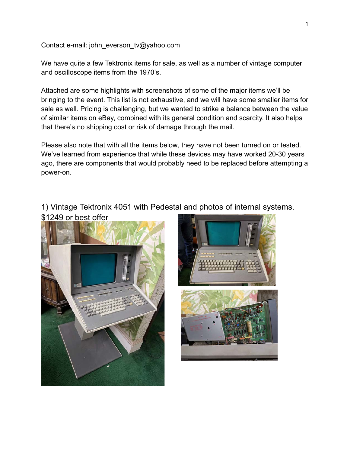Contact e-mail: john\_everson\_tv@yahoo.com

We have quite a few Tektronix items for sale, as well as a number of vintage computer and oscilloscope items from the 1970's.

Attached are some highlights with screenshots of some of the major items we'll be bringing to the event. This list is not exhaustive, and we will have some smaller items for sale as well. Pricing is challenging, but we wanted to strike a balance between the value of similar items on eBay, combined with its general condition and scarcity. It also helps that there's no shipping cost or risk of damage through the mail.

Please also note that with all the items below, they have not been turned on or tested. We've learned from experience that while these devices may have worked 20-30 years ago, there are components that would probably need to be replaced before attempting a power-on.

1) Vintage Tektronix 4051 with Pedestal and photos of internal systems. \$1249 or best offer



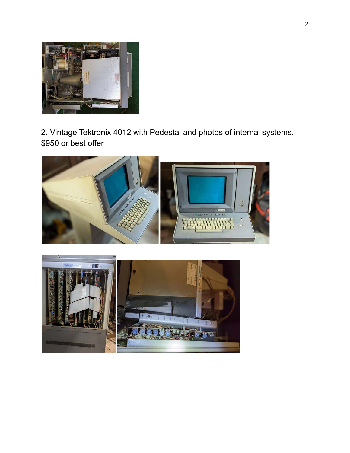

2. Vintage Tektronix 4012 with Pedestal and photos of internal systems. \$950 or best offer



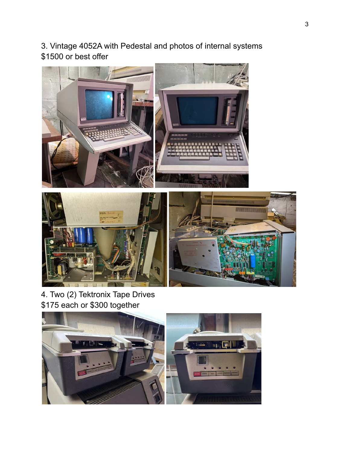3. Vintage 4052A with Pedestal and photos of internal systems \$1500 or best offer





4. Two (2) Tektronix Tape Drives \$175 each or \$300 together

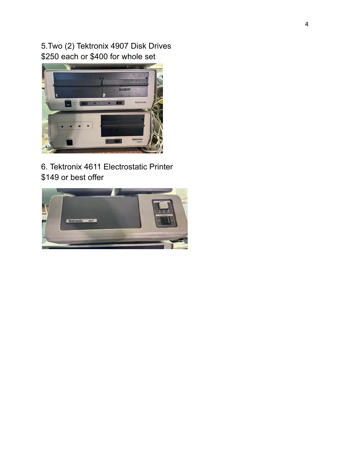5.Two (2) Tektronix 4907 Disk Drives \$250 each or \$400 for whole set



6. Tektronix 4611 Electrostatic Printer \$149 or best offer

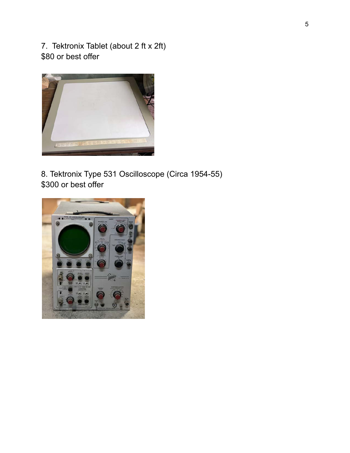7. Tektronix Tablet (about 2 ft x 2ft) \$80 or best offer



8. Tektronix Type 531 Oscilloscope (Circa 1954-55) \$300 or best offer

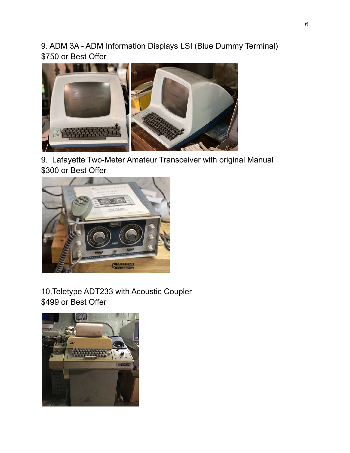9. ADM 3A - ADM Information Displays LSI (Blue Dummy Terminal) \$750 or Best Offer



9. Lafayette Two-Meter Amateur Transceiver with original Manual \$300 or Best Offer



## 10.Teletype ADT233 with Acoustic Coupler \$499 or Best Offer